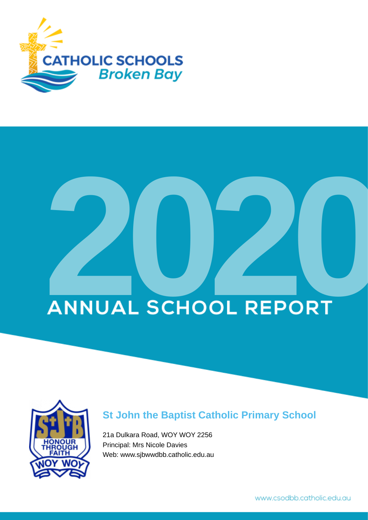

# **ANNUAL SCHOOL REPORT**



## **St John the Baptist Catholic Primary School**

21a Dulkara Road, WOY WOY 2256 Principal: Mrs Nicole Davies Web: www.sjbwwdbb.catholic.edu.au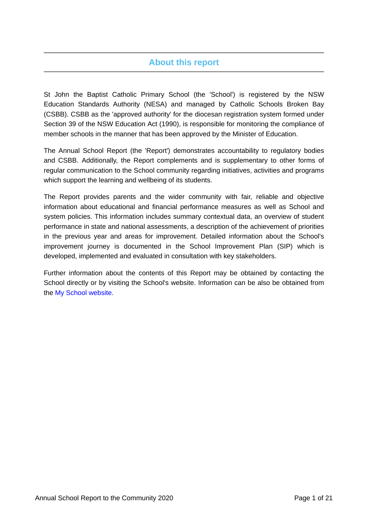## **About this report**

St John the Baptist Catholic Primary School (the 'School') is registered by the NSW Education Standards Authority (NESA) and managed by Catholic Schools Broken Bay (CSBB). CSBB as the 'approved authority' for the diocesan registration system formed under Section 39 of the NSW Education Act (1990), is responsible for monitoring the compliance of member schools in the manner that has been approved by the Minister of Education.

The Annual School Report (the 'Report') demonstrates accountability to regulatory bodies and CSBB. Additionally, the Report complements and is supplementary to other forms of regular communication to the School community regarding initiatives, activities and programs which support the learning and wellbeing of its students.

The Report provides parents and the wider community with fair, reliable and objective information about educational and financial performance measures as well as School and system policies. This information includes summary contextual data, an overview of student performance in state and national assessments, a description of the achievement of priorities in the previous year and areas for improvement. Detailed information about the School's improvement journey is documented in the School Improvement Plan (SIP) which is developed, implemented and evaluated in consultation with key stakeholders.

Further information about the contents of this Report may be obtained by contacting the School directly or by visiting the School's website. Information can be also be obtained from the [My School website.](https://www.myschool.edu.au/)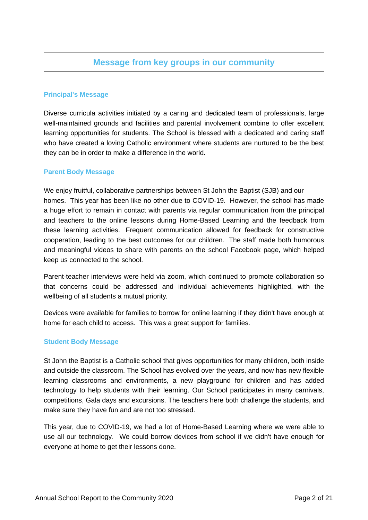## **Message from key groups in our community**

## **Principal's Message**

Diverse curricula activities initiated by a caring and dedicated team of professionals, large well-maintained grounds and facilities and parental involvement combine to offer excellent learning opportunities for students. The School is blessed with a dedicated and caring staff who have created a loving Catholic environment where students are nurtured to be the best they can be in order to make a difference in the world.

#### **Parent Body Message**

We enjoy fruitful, collaborative partnerships between St John the Baptist (SJB) and our homes. This year has been like no other due to COVID-19. However, the school has made a huge effort to remain in contact with parents via regular communication from the principal and teachers to the online lessons during Home-Based Learning and the feedback from these learning activities. Frequent communication allowed for feedback for constructive cooperation, leading to the best outcomes for our children. The staff made both humorous and meaningful videos to share with parents on the school Facebook page, which helped keep us connected to the school.

Parent-teacher interviews were held via zoom, which continued to promote collaboration so that concerns could be addressed and individual achievements highlighted, with the wellbeing of all students a mutual priority.

Devices were available for families to borrow for online learning if they didn't have enough at home for each child to access. This was a great support for families.

### **Student Body Message**

St John the Baptist is a Catholic school that gives opportunities for many children, both inside and outside the classroom. The School has evolved over the years, and now has new flexible learning classrooms and environments, a new playground for children and has added technology to help students with their learning. Our School participates in many carnivals, competitions, Gala days and excursions. The teachers here both challenge the students, and make sure they have fun and are not too stressed.

This year, due to COVID-19, we had a lot of Home-Based Learning where we were able to use all our technology. We could borrow devices from school if we didn't have enough for everyone at home to get their lessons done.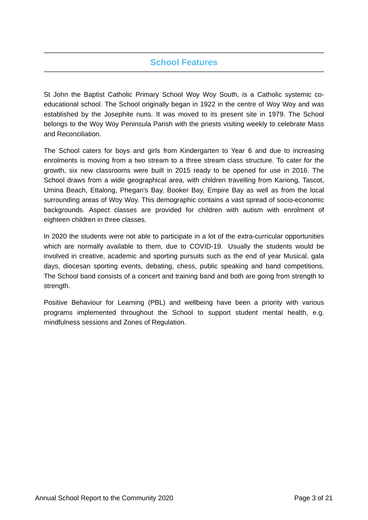## **School Features**

St John the Baptist Catholic Primary School Woy Woy South, is a Catholic systemic coeducational school. The School originally began in 1922 in the centre of Woy Woy and was established by the Josephite nuns. It was moved to its present site in 1979. The School belongs to the Woy Woy Peninsula Parish with the priests visiting weekly to celebrate Mass and Reconciliation.

The School caters for boys and girls from Kindergarten to Year 6 and due to increasing enrolments is moving from a two stream to a three stream class structure. To cater for the growth, six new classrooms were built in 2015 ready to be opened for use in 2016. The School draws from a wide geographical area, with children travelling from Kariong, Tascot, Umina Beach, Ettalong, Phegan's Bay, Booker Bay, Empire Bay as well as from the local surrounding areas of Woy Woy. This demographic contains a vast spread of socio-economic backgrounds. Aspect classes are provided for children with autism with enrolment of eighteen children in three classes.

In 2020 the students were not able to participate in a lot of the extra-curricular opportunities which are normally available to them, due to COVID-19. Usually the students would be involved in creative, academic and sporting pursuits such as the end of year Musical, gala days, diocesan sporting events, debating, chess, public speaking and band competitions. The School band consists of a concert and training band and both are going from strength to strength.

Positive Behaviour for Learning (PBL) and wellbeing have been a priority with various programs implemented throughout the School to support student mental health, e.g. mindfulness sessions and Zones of Regulation.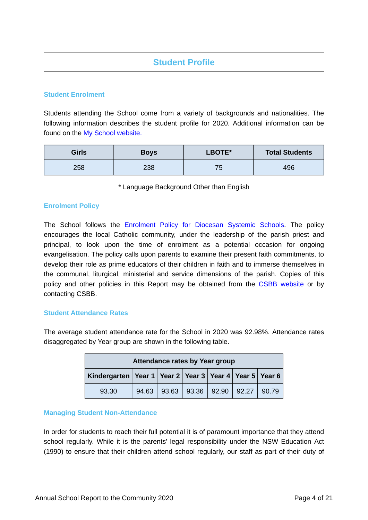## **Student Profile**

## **Student Enrolment**

Students attending the School come from a variety of backgrounds and nationalities. The following information describes the student profile for 2020. Additional information can be found on the [My School website.](https://www.myschool.edu.au/)

| <b>Girls</b> | <b>Boys</b> | LBOTE*         | <b>Total Students</b> |
|--------------|-------------|----------------|-----------------------|
| 258          | 238         | <b>75</b><br>- | 496                   |

\* Language Background Other than English

### **Enrolment Policy**

The School follows the [Enrolment Policy for Diocesan Systemic Schools.](https://www.csodbb.catholic.edu.au/about/Policies) The policy encourages the local Catholic community, under the leadership of the parish priest and principal, to look upon the time of enrolment as a potential occasion for ongoing evangelisation. The policy calls upon parents to examine their present faith commitments, to develop their role as prime educators of their children in faith and to immerse themselves in the communal, liturgical, ministerial and service dimensions of the parish. Copies of this policy and other policies in this Report may be obtained from the [CSBB website](https://www.csodbb.catholic.edu.au/about/Policies) or by contacting CSBB.

### **Student Attendance Rates**

The average student attendance rate for the School in 2020 was 92.98%. Attendance rates disaggregated by Year group are shown in the following table.

| Attendance rates by Year group                                     |       |  |                                 |  |  |       |
|--------------------------------------------------------------------|-------|--|---------------------------------|--|--|-------|
| Kindergarten   Year 1   Year 2   Year 3   Year 4   Year 5   Year 6 |       |  |                                 |  |  |       |
| 93.30                                                              | 94.63 |  | $93.63$   93.36   92.90   92.27 |  |  | 90.79 |

### **Managing Student Non-Attendance**

In order for students to reach their full potential it is of paramount importance that they attend school regularly. While it is the parents' legal responsibility under the NSW Education Act (1990) to ensure that their children attend school regularly, our staff as part of their duty of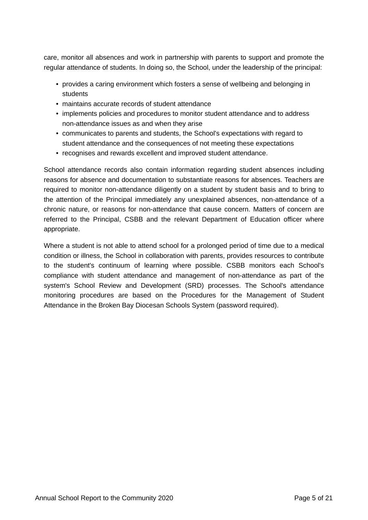care, monitor all absences and work in partnership with parents to support and promote the regular attendance of students. In doing so, the School, under the leadership of the principal:

- provides a caring environment which fosters a sense of wellbeing and belonging in students
- maintains accurate records of student attendance
- implements policies and procedures to monitor student attendance and to address non-attendance issues as and when they arise
- communicates to parents and students, the School's expectations with regard to student attendance and the consequences of not meeting these expectations
- recognises and rewards excellent and improved student attendance.

School attendance records also contain information regarding student absences including reasons for absence and documentation to substantiate reasons for absences. Teachers are required to monitor non-attendance diligently on a student by student basis and to bring to the attention of the Principal immediately any unexplained absences, non-attendance of a chronic nature, or reasons for non-attendance that cause concern. Matters of concern are referred to the Principal, CSBB and the relevant Department of Education officer where appropriate.

Where a student is not able to attend school for a prolonged period of time due to a medical condition or illness, the School in collaboration with parents, provides resources to contribute to the student's continuum of learning where possible. CSBB monitors each School's compliance with student attendance and management of non-attendance as part of the system's School Review and Development (SRD) processes. The School's attendance monitoring procedures are based on the Procedures for the Management of Student Attendance in the Broken Bay Diocesan Schools System (password required).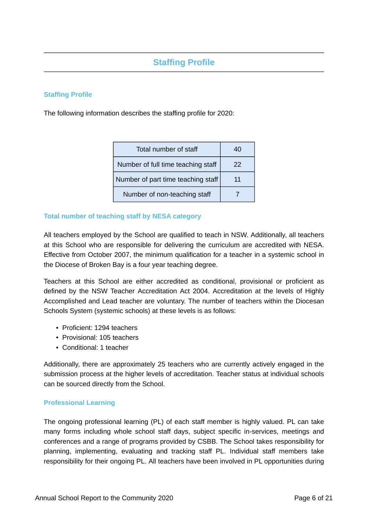## **Staffing Profile**

## **Staffing Profile**

The following information describes the staffing profile for 2020:

| Total number of staff              |    |
|------------------------------------|----|
| Number of full time teaching staff | 22 |
| Number of part time teaching staff | 11 |
| Number of non-teaching staff       |    |

## **Total number of teaching staff by NESA category**

All teachers employed by the School are qualified to teach in NSW. Additionally, all teachers at this School who are responsible for delivering the curriculum are accredited with NESA. Effective from October 2007, the minimum qualification for a teacher in a systemic school in the Diocese of Broken Bay is a four year teaching degree.

Teachers at this School are either accredited as conditional, provisional or proficient as defined by the NSW Teacher Accreditation Act 2004. Accreditation at the levels of Highly Accomplished and Lead teacher are voluntary. The number of teachers within the Diocesan Schools System (systemic schools) at these levels is as follows:

- Proficient: 1294 teachers
- Provisional: 105 teachers
- Conditional: 1 teacher

Additionally, there are approximately 25 teachers who are currently actively engaged in the submission process at the higher levels of accreditation. Teacher status at individual schools can be sourced directly from the School.

### **Professional Learning**

The ongoing professional learning (PL) of each staff member is highly valued. PL can take many forms including whole school staff days, subject specific in-services, meetings and conferences and a range of programs provided by CSBB. The School takes responsibility for planning, implementing, evaluating and tracking staff PL. Individual staff members take responsibility for their ongoing PL. All teachers have been involved in PL opportunities during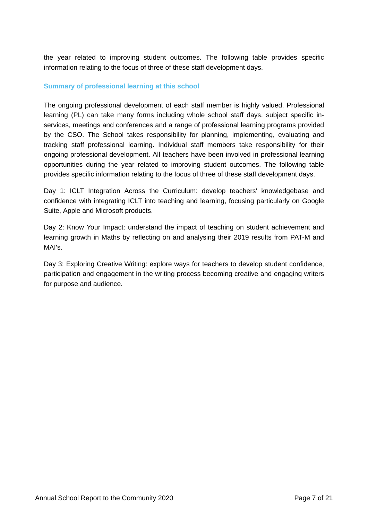the year related to improving student outcomes. The following table provides specific information relating to the focus of three of these staff development days.

## **Summary of professional learning at this school**

The ongoing professional development of each staff member is highly valued. Professional learning (PL) can take many forms including whole school staff days, subject specific inservices, meetings and conferences and a range of professional learning programs provided by the CSO. The School takes responsibility for planning, implementing, evaluating and tracking staff professional learning. Individual staff members take responsibility for their ongoing professional development. All teachers have been involved in professional learning opportunities during the year related to improving student outcomes. The following table provides specific information relating to the focus of three of these staff development days.

Day 1: ICLT Integration Across the Curriculum: develop teachers' knowledgebase and confidence with integrating ICLT into teaching and learning, focusing particularly on Google Suite, Apple and Microsoft products.

Day 2: Know Your Impact: understand the impact of teaching on student achievement and learning growth in Maths by reflecting on and analysing their 2019 results from PAT-M and MAI's.

Day 3: Exploring Creative Writing: explore ways for teachers to develop student confidence, participation and engagement in the writing process becoming creative and engaging writers for purpose and audience.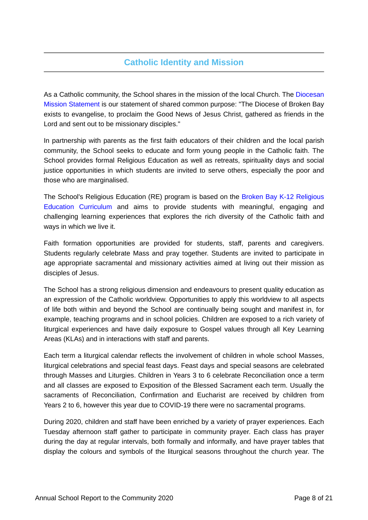## **Catholic Identity and Mission**

As a Catholic community, the School shares in the mission of the local Church. The [Diocesan](https://www.csodbb.catholic.edu.au/mission/Catholic-Life) [Mission Statement](https://www.csodbb.catholic.edu.au/mission/Catholic-Life) is our statement of shared common purpose: "The Diocese of Broken Bay exists to evangelise, to proclaim the Good News of Jesus Christ, gathered as friends in the Lord and sent out to be missionary disciples."

In partnership with parents as the first faith educators of their children and the local parish community, the School seeks to educate and form young people in the Catholic faith. The School provides formal Religious Education as well as retreats, spirituality days and social justice opportunities in which students are invited to serve others, especially the poor and those who are marginalised.

The School's Religious Education (RE) program is based on the [Broken Bay K-12 Religious](https://www.csodbb.catholic.edu.au/mission/Religious-Education) [Education Curriculum](https://www.csodbb.catholic.edu.au/mission/Religious-Education) and aims to provide students with meaningful, engaging and challenging learning experiences that explores the rich diversity of the Catholic faith and ways in which we live it.

Faith formation opportunities are provided for students, staff, parents and caregivers. Students regularly celebrate Mass and pray together. Students are invited to participate in age appropriate sacramental and missionary activities aimed at living out their mission as disciples of Jesus.

The School has a strong religious dimension and endeavours to present quality education as an expression of the Catholic worldview. Opportunities to apply this worldview to all aspects of life both within and beyond the School are continually being sought and manifest in, for example, teaching programs and in school policies. Children are exposed to a rich variety of liturgical experiences and have daily exposure to Gospel values through all Key Learning Areas (KLAs) and in interactions with staff and parents.

Each term a liturgical calendar reflects the involvement of children in whole school Masses, liturgical celebrations and special feast days. Feast days and special seasons are celebrated through Masses and Liturgies. Children in Years 3 to 6 celebrate Reconciliation once a term and all classes are exposed to Exposition of the Blessed Sacrament each term. Usually the sacraments of Reconciliation, Confirmation and Eucharist are received by children from Years 2 to 6, however this year due to COVID-19 there were no sacramental programs.

During 2020, children and staff have been enriched by a variety of prayer experiences. Each Tuesday afternoon staff gather to participate in community prayer. Each class has prayer during the day at regular intervals, both formally and informally, and have prayer tables that display the colours and symbols of the liturgical seasons throughout the church year. The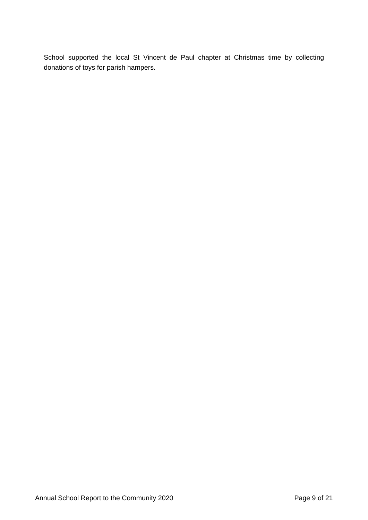School supported the local St Vincent de Paul chapter at Christmas time by collecting donations of toys for parish hampers.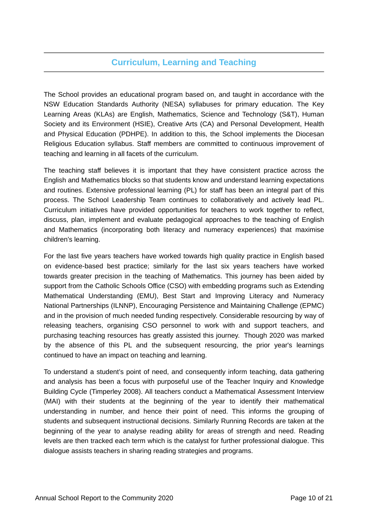## **Curriculum, Learning and Teaching**

The School provides an educational program based on, and taught in accordance with the NSW Education Standards Authority (NESA) syllabuses for primary education. The Key Learning Areas (KLAs) are English, Mathematics, Science and Technology (S&T), Human Society and its Environment (HSIE), Creative Arts (CA) and Personal Development, Health and Physical Education (PDHPE). In addition to this, the School implements the Diocesan Religious Education syllabus. Staff members are committed to continuous improvement of teaching and learning in all facets of the curriculum.

The teaching staff believes it is important that they have consistent practice across the English and Mathematics blocks so that students know and understand learning expectations and routines. Extensive professional learning (PL) for staff has been an integral part of this process. The School Leadership Team continues to collaboratively and actively lead PL. Curriculum initiatives have provided opportunities for teachers to work together to reflect, discuss, plan, implement and evaluate pedagogical approaches to the teaching of English and Mathematics (incorporating both literacy and numeracy experiences) that maximise children's learning.

For the last five years teachers have worked towards high quality practice in English based on evidence-based best practice; similarly for the last six years teachers have worked towards greater precision in the teaching of Mathematics. This journey has been aided by support from the Catholic Schools Office (CSO) with embedding programs such as Extending Mathematical Understanding (EMU), Best Start and Improving Literacy and Numeracy National Partnerships (ILNNP), Encouraging Persistence and Maintaining Challenge (EPMC) and in the provision of much needed funding respectively. Considerable resourcing by way of releasing teachers, organising CSO personnel to work with and support teachers, and purchasing teaching resources has greatly assisted this journey. Though 2020 was marked by the absence of this PL and the subsequent resourcing, the prior year's learnings continued to have an impact on teaching and learning.

To understand a student's point of need, and consequently inform teaching, data gathering and analysis has been a focus with purposeful use of the Teacher Inquiry and Knowledge Building Cycle (Timperley 2008). All teachers conduct a Mathematical Assessment Interview (MAI) with their students at the beginning of the year to identify their mathematical understanding in number, and hence their point of need. This informs the grouping of students and subsequent instructional decisions. Similarly Running Records are taken at the beginning of the year to analyse reading ability for areas of strength and need. Reading levels are then tracked each term which is the catalyst for further professional dialogue. This dialogue assists teachers in sharing reading strategies and programs.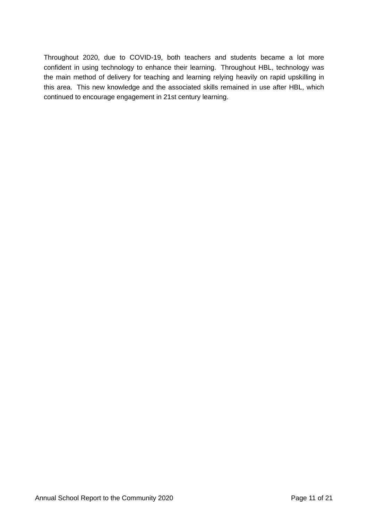Throughout 2020, due to COVID-19, both teachers and students became a lot more confident in using technology to enhance their learning. Throughout HBL, technology was the main method of delivery for teaching and learning relying heavily on rapid upskilling in this area. This new knowledge and the associated skills remained in use after HBL, which continued to encourage engagement in 21st century learning.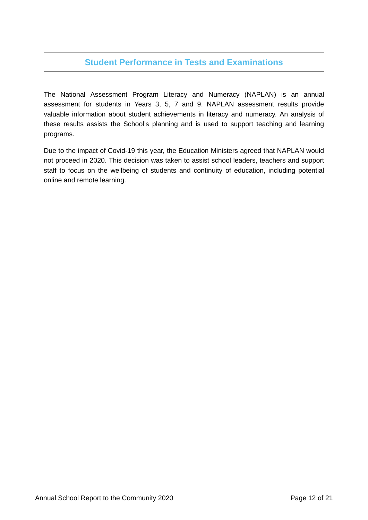## **Student Performance in Tests and Examinations**

The National Assessment Program Literacy and Numeracy (NAPLAN) is an annual assessment for students in Years 3, 5, 7 and 9. NAPLAN assessment results provide valuable information about student achievements in literacy and numeracy. An analysis of these results assists the School's planning and is used to support teaching and learning programs.

Due to the impact of Covid-19 this year, the Education Ministers agreed that NAPLAN would not proceed in 2020. This decision was taken to assist school leaders, teachers and support staff to focus on the wellbeing of students and continuity of education, including potential online and remote learning.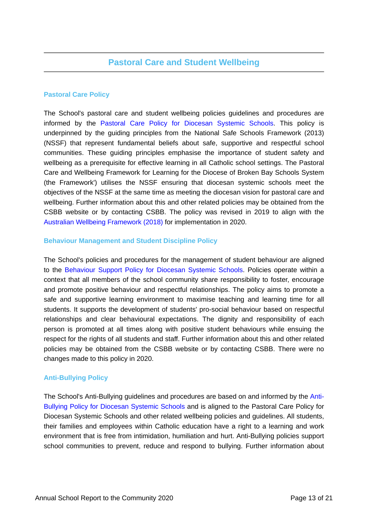## **Pastoral Care Policy**

The School's pastoral care and student wellbeing policies guidelines and procedures are informed by the [Pastoral Care Policy for Diocesan Systemic Schools.](https://www.csodbb.catholic.edu.au/about/Policies) This policy is underpinned by the guiding principles from the National Safe Schools Framework (2013) (NSSF) that represent fundamental beliefs about safe, supportive and respectful school communities. These guiding principles emphasise the importance of student safety and wellbeing as a prerequisite for effective learning in all Catholic school settings. The Pastoral Care and Wellbeing Framework for Learning for the Diocese of Broken Bay Schools System (the Framework') utilises the NSSF ensuring that diocesan systemic schools meet the objectives of the NSSF at the same time as meeting the diocesan vision for pastoral care and wellbeing. Further information about this and other related policies may be obtained from the CSBB website or by contacting CSBB. The policy was revised in 2019 to align with the [Australian Wellbeing Framework \(2018\)](https://studentwellbeinghub.edu.au/educators/framework/) for implementation in 2020.

## **Behaviour Management and Student Discipline Policy**

The School's policies and procedures for the management of student behaviour are aligned to the [Behaviour Support Policy for Diocesan Systemic Schools.](https://www.csodbb.catholic.edu.au/about/Policies) Policies operate within a context that all members of the school community share responsibility to foster, encourage and promote positive behaviour and respectful relationships. The policy aims to promote a safe and supportive learning environment to maximise teaching and learning time for all students. It supports the development of students' pro-social behaviour based on respectful relationships and clear behavioural expectations. The dignity and responsibility of each person is promoted at all times along with positive student behaviours while ensuing the respect for the rights of all students and staff. Further information about this and other related policies may be obtained from the CSBB website or by contacting CSBB. There were no changes made to this policy in 2020.

## **Anti-Bullying Policy**

The School's Anti-Bullying guidelines and procedures are based on and informed by the [Anti-](https://www.csodbb.catholic.edu.au/about/Policies)[Bullying Policy for Diocesan Systemic Schools](https://www.csodbb.catholic.edu.au/about/Policies) and is aligned to the Pastoral Care Policy for Diocesan Systemic Schools and other related wellbeing policies and guidelines. All students, their families and employees within Catholic education have a right to a learning and work environment that is free from intimidation, humiliation and hurt. Anti-Bullying policies support school communities to prevent, reduce and respond to bullying. Further information about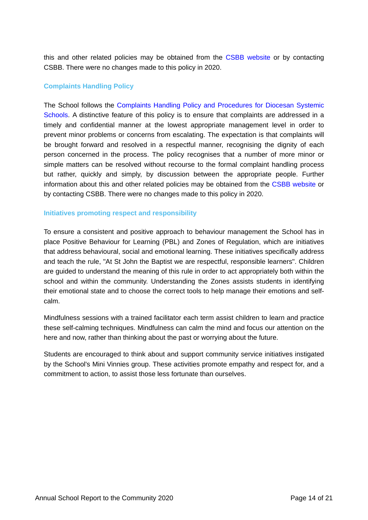this and other related policies may be obtained from the [CSBB website](https://www.csodbb.catholic.edu.au/about/Overview) or by contacting CSBB. There were no changes made to this policy in 2020.

## **Complaints Handling Policy**

The School follows the [Complaints Handling Policy and Procedures for Diocesan Systemic](https://www.csodbb.catholic.edu.au/about/Policies) [Schools.](https://www.csodbb.catholic.edu.au/about/Policies) A distinctive feature of this policy is to ensure that complaints are addressed in a timely and confidential manner at the lowest appropriate management level in order to prevent minor problems or concerns from escalating. The expectation is that complaints will be brought forward and resolved in a respectful manner, recognising the dignity of each person concerned in the process. The policy recognises that a number of more minor or simple matters can be resolved without recourse to the formal complaint handling process but rather, quickly and simply, by discussion between the appropriate people. Further information about this and other related policies may be obtained from the [CSBB website](https://www.csodbb.catholic.edu.au/about/Policies) or by contacting CSBB. There were no changes made to this policy in 2020.

### **Initiatives promoting respect and responsibility**

To ensure a consistent and positive approach to behaviour management the School has in place Positive Behaviour for Learning (PBL) and Zones of Regulation, which are initiatives that address behavioural, social and emotional learning. These initiatives specifically address and teach the rule, "At St John the Baptist we are respectful, responsible learners". Children are guided to understand the meaning of this rule in order to act appropriately both within the school and within the community. Understanding the Zones assists students in identifying their emotional state and to choose the correct tools to help manage their emotions and selfcalm.

Mindfulness sessions with a trained facilitator each term assist children to learn and practice these self-calming techniques. Mindfulness can calm the mind and focus our attention on the here and now, rather than thinking about the past or worrying about the future.

Students are encouraged to think about and support community service initiatives instigated by the School's Mini Vinnies group. These activities promote empathy and respect for, and a commitment to action, to assist those less fortunate than ourselves.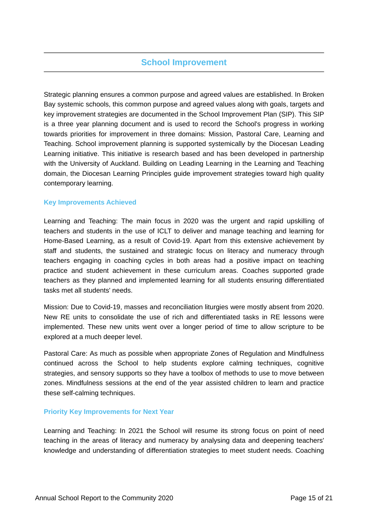## **School Improvement**

Strategic planning ensures a common purpose and agreed values are established. In Broken Bay systemic schools, this common purpose and agreed values along with goals, targets and key improvement strategies are documented in the School Improvement Plan (SIP). This SIP is a three year planning document and is used to record the School's progress in working towards priorities for improvement in three domains: Mission, Pastoral Care, Learning and Teaching. School improvement planning is supported systemically by the Diocesan Leading Learning initiative. This initiative is research based and has been developed in partnership with the University of Auckland. Building on Leading Learning in the Learning and Teaching domain, the Diocesan Learning Principles guide improvement strategies toward high quality contemporary learning.

### **Key Improvements Achieved**

Learning and Teaching: The main focus in 2020 was the urgent and rapid upskilling of teachers and students in the use of ICLT to deliver and manage teaching and learning for Home-Based Learning, as a result of Covid-19. Apart from this extensive achievement by staff and students, the sustained and strategic focus on literacy and numeracy through teachers engaging in coaching cycles in both areas had a positive impact on teaching practice and student achievement in these curriculum areas. Coaches supported grade teachers as they planned and implemented learning for all students ensuring differentiated tasks met all students' needs.

Mission: Due to Covid-19, masses and reconciliation liturgies were mostly absent from 2020. New RE units to consolidate the use of rich and differentiated tasks in RE lessons were implemented. These new units went over a longer period of time to allow scripture to be explored at a much deeper level.

Pastoral Care: As much as possible when appropriate Zones of Regulation and Mindfulness continued across the School to help students explore calming techniques, cognitive strategies, and sensory supports so they have a toolbox of methods to use to move between zones. Mindfulness sessions at the end of the year assisted children to learn and practice these self-calming techniques.

### **Priority Key Improvements for Next Year**

Learning and Teaching: In 2021 the School will resume its strong focus on point of need teaching in the areas of literacy and numeracy by analysing data and deepening teachers' knowledge and understanding of differentiation strategies to meet student needs. Coaching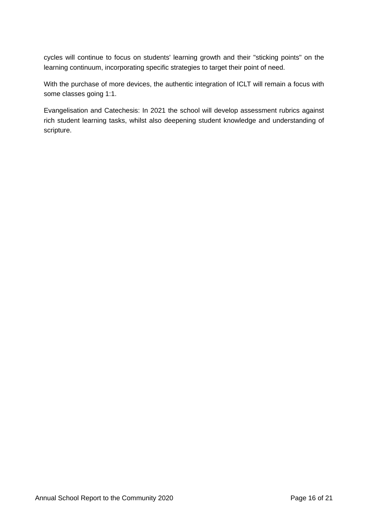cycles will continue to focus on students' learning growth and their "sticking points" on the learning continuum, incorporating specific strategies to target their point of need.

With the purchase of more devices, the authentic integration of ICLT will remain a focus with some classes going 1:1.

Evangelisation and Catechesis: In 2021 the school will develop assessment rubrics against rich student learning tasks, whilst also deepening student knowledge and understanding of scripture.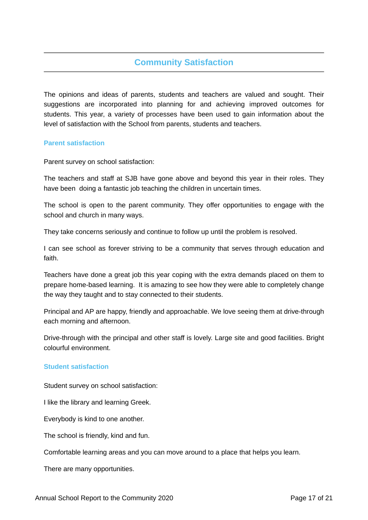## **Community Satisfaction**

The opinions and ideas of parents, students and teachers are valued and sought. Their suggestions are incorporated into planning for and achieving improved outcomes for students. This year, a variety of processes have been used to gain information about the level of satisfaction with the School from parents, students and teachers.

#### **Parent satisfaction**

Parent survey on school satisfaction:

The teachers and staff at SJB have gone above and beyond this year in their roles. They have been doing a fantastic job teaching the children in uncertain times.

The school is open to the parent community. They offer opportunities to engage with the school and church in many ways.

They take concerns seriously and continue to follow up until the problem is resolved.

I can see school as forever striving to be a community that serves through education and faith.

Teachers have done a great job this year coping with the extra demands placed on them to prepare home-based learning. It is amazing to see how they were able to completely change the way they taught and to stay connected to their students.

Principal and AP are happy, friendly and approachable. We love seeing them at drive-through each morning and afternoon.

Drive-through with the principal and other staff is lovely. Large site and good facilities. Bright colourful environment.

### **Student satisfaction**

Student survey on school satisfaction:

I like the library and learning Greek.

Everybody is kind to one another.

The school is friendly, kind and fun.

Comfortable learning areas and you can move around to a place that helps you learn.

There are many opportunities.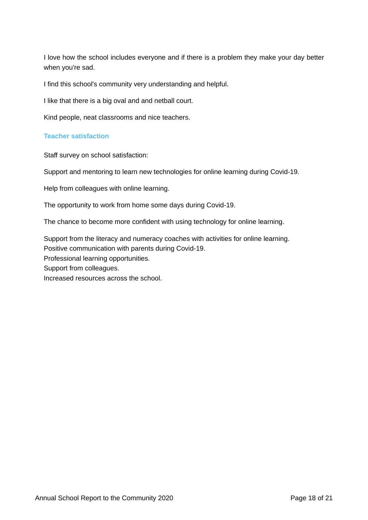I love how the school includes everyone and if there is a problem they make your day better when you're sad.

I find this school's community very understanding and helpful.

I like that there is a big oval and and netball court.

Kind people, neat classrooms and nice teachers.

## **Teacher satisfaction**

Staff survey on school satisfaction:

Support and mentoring to learn new technologies for online learning during Covid-19.

Help from colleagues with online learning.

The opportunity to work from home some days during Covid-19.

The chance to become more confident with using technology for online learning.

Support from the literacy and numeracy coaches with activities for online learning. Positive communication with parents during Covid-19. Professional learning opportunities. Support from colleagues. Increased resources across the school.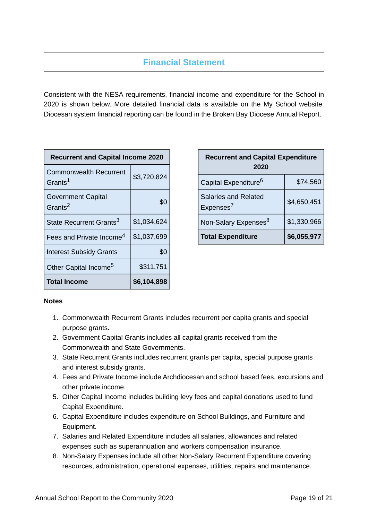## **Financial Statement**

Consistent with the NESA requirements, financial income and expenditure for the School in 2020 is shown below. More detailed financial data is available on the My School website. Diocesan system financial reporting can be found in the Broken Bay Diocese Annual Report.

| <b>Recurrent and Capital Income 2020</b>             |             |  |
|------------------------------------------------------|-------------|--|
| <b>Commonwealth Recurrent</b><br>Grants <sup>1</sup> | \$3,720,824 |  |
| <b>Government Capital</b><br>Grants <sup>2</sup>     | \$0         |  |
| State Recurrent Grants <sup>3</sup>                  | \$1,034,624 |  |
| Fees and Private Income <sup>4</sup>                 | \$1,037,699 |  |
| <b>Interest Subsidy Grants</b>                       | \$0         |  |
| Other Capital Income <sup>5</sup>                    | \$311,751   |  |
| <b>Total Income</b>                                  | \$6,104,898 |  |

| <b>Recurrent and Capital Expenditure</b><br>2020 |             |  |
|--------------------------------------------------|-------------|--|
| Capital Expenditure <sup>6</sup>                 | \$74,560    |  |
| Salaries and Related<br>Expenses <sup>7</sup>    | \$4,650,451 |  |
| Non-Salary Expenses <sup>8</sup>                 | \$1,330,966 |  |
| <b>Total Expenditure</b>                         | \$6,055,977 |  |

### **Notes**

- 1. Commonwealth Recurrent Grants includes recurrent per capita grants and special purpose grants.
- 2. Government Capital Grants includes all capital grants received from the Commonwealth and State Governments.
- 3. State Recurrent Grants includes recurrent grants per capita, special purpose grants and interest subsidy grants.
- 4. Fees and Private Income include Archdiocesan and school based fees, excursions and other private income.
- 5. Other Capital Income includes building levy fees and capital donations used to fund Capital Expenditure.
- 6. Capital Expenditure includes expenditure on School Buildings, and Furniture and Equipment.
- 7. Salaries and Related Expenditure includes all salaries, allowances and related expenses such as superannuation and workers compensation insurance.
- 8. Non-Salary Expenses include all other Non-Salary Recurrent Expenditure covering resources, administration, operational expenses, utilities, repairs and maintenance.